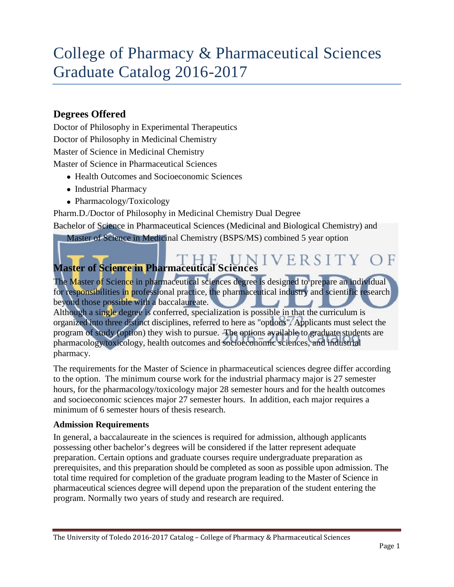# College of Pharmacy & Pharmaceutical Sciences Graduate Catalog 2016-2017

### **Degrees Offered**

Doctor of Philosophy in Experimental Therapeutics Doctor of Philosophy in Medicinal Chemistry Master of Science in Medicinal Chemistry Master of Science in Pharmaceutical Sciences

- Health Outcomes and Socioeconomic Sciences
- Industrial Pharmacy
- Pharmacology/Toxicology

Pharm.D./Doctor of Philosophy in Medicinal Chemistry Dual Degree

Bachelor of Science in Pharmaceutical Sciences (Medicinal and Biological Chemistry) and

Master of Science in Medicinal Chemistry (BSPS/MS) combined 5 year option

#### TY **Master of Science in Pharmaceutical Sciences**

The Master of Science in pharmaceutical sciences degree is designed to prepare an individual for responsibilities in professional practice, the pharmaceutical industry and scientific research beyond those possible with a baccalaureate. Although a single degree is conferred, specialization is possible in that the curriculum is organized into three distinct disciplines, referred to here as "options". Applicants must select the program of study (option) they wish to pursue. The options available to graduate students are pharmacology/toxicology, health outcomes and socioeconomic sciences, and industrial pharmacy.

The requirements for the Master of Science in pharmaceutical sciences degree differ according to the option. The minimum course work for the industrial pharmacy major is 27 semester hours, for the pharmacology/toxicology major 28 semester hours and for the health outcomes and socioeconomic sciences major 27 semester hours. In addition, each major requires a minimum of 6 semester hours of thesis research.

#### **Admission Requirements**

In general, a baccalaureate in the sciences is required for admission, although applicants possessing other bachelor's degrees will be considered if the latter represent adequate preparation. Certain options and graduate courses require undergraduate preparation as prerequisites, and this preparation should be completed as soon as possible upon admission. The total time required for completion of the graduate program leading to the Master of Science in pharmaceutical sciences degree will depend upon the preparation of the student entering the program. Normally two years of study and research are required.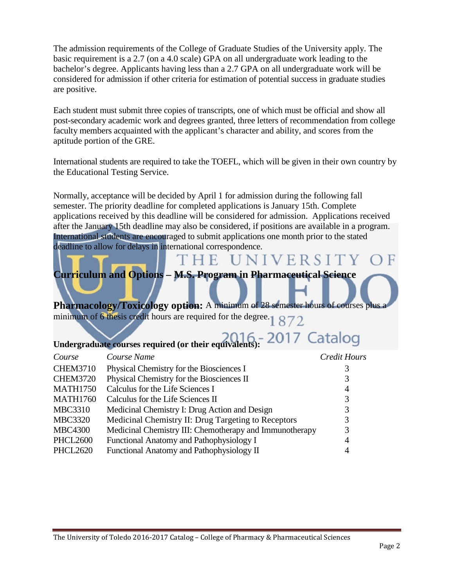The admission requirements of the College of Graduate Studies of the University apply. The basic requirement is a 2.7 (on a 4.0 scale) GPA on all undergraduate work leading to the bachelor's degree. Applicants having less than a 2.7 GPA on all undergraduate work will be considered for admission if other criteria for estimation of potential success in graduate studies are positive.

Each student must submit three copies of transcripts, one of which must be official and show all post-secondary academic work and degrees granted, three letters of recommendation from college faculty members acquainted with the applicant's character and ability, and scores from the aptitude portion of the GRE.

International students are required to take the TOEFL, which will be given in their own country by the Educational Testing Service.

Normally, acceptance will be decided by April 1 for admission during the following fall semester. The priority deadline for completed applications is January 15th. Complete applications received by this deadline will be considered for admission. Applications received after the January 15th deadline may also be considered, if positions are available in a program. International students are encouraged to submit applications one month prior to the stated deadline to allow for delays in international correspondence.

THE UNIVERSITY

# **Curriculum and Options – M.S. Program in Pharmaceutical Science**

**Pharmacology/Toxicology option:** A minimum of 28 semester hours of courses plu minimum of 6 thesis credit hours are required for the degree.  $1872$ 

# **Undergraduate courses required (or their equivalents):**

| Course          | Course Name                                             | <b>Credit Hours</b> |
|-----------------|---------------------------------------------------------|---------------------|
| <b>CHEM3710</b> | Physical Chemistry for the Biosciences I                | 3                   |
| <b>CHEM3720</b> | Physical Chemistry for the Biosciences II               | 3                   |
| <b>MATH1750</b> | Calculus for the Life Sciences I                        | $\overline{4}$      |
| <b>MATH1760</b> | Calculus for the Life Sciences II                       | 3                   |
| <b>MBC3310</b>  | Medicinal Chemistry I: Drug Action and Design           | 3                   |
| <b>MBC3320</b>  | Medicinal Chemistry II: Drug Targeting to Receptors     | 3                   |
| <b>MBC4300</b>  | Medicinal Chemistry III: Chemotherapy and Immunotherapy | 3                   |
| <b>PHCL2600</b> | Functional Anatomy and Pathophysiology I                | 4                   |
| <b>PHCL2620</b> | Functional Anatomy and Pathophysiology II               | $\overline{4}$      |
|                 |                                                         |                     |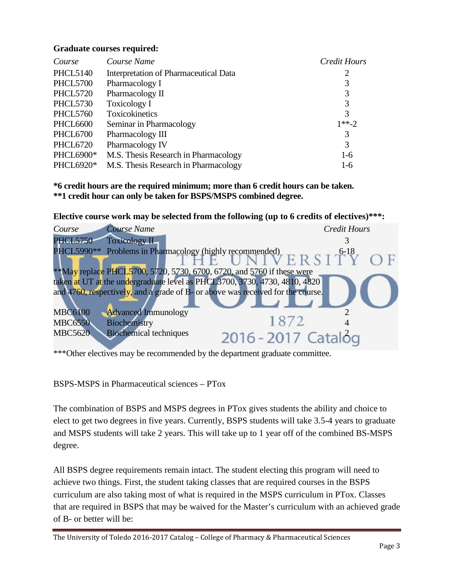#### **Graduate courses required:**

| Course           | Course Name                           | <b>Credit Hours</b> |
|------------------|---------------------------------------|---------------------|
| <b>PHCL5140</b>  | Interpretation of Pharmaceutical Data | 2                   |
| <b>PHCL5700</b>  | Pharmacology I                        | 3                   |
| <b>PHCL5720</b>  | Pharmacology II                       | 3                   |
| <b>PHCL5730</b>  | Toxicology I                          | 3                   |
| <b>PHCL5760</b>  | Toxicokinetics                        | 3                   |
| <b>PHCL6600</b>  | Seminar in Pharmacology               | $1**-2$             |
| PHCL6700         | Pharmacology III                      | 3                   |
| <b>PHCL6720</b>  | Pharmacology IV                       | 3                   |
| <b>PHCL6900*</b> | M.S. Thesis Research in Pharmacology  | $1-6$               |
| PHCL6920*        | M.S. Thesis Research in Pharmacology  | $1-6$               |

**\*6 credit hours are the required minimum; more than 6 credit hours can be taken. \*\*1 credit hour can only be taken for BSPS/MSPS combined degree.**

**Elective course work may be selected from the following (up to 6 credits of electives)\*\*\*:**

| <b>Course Name</b><br>Course                                                    | <b>Credit Hours</b>                                                                    |
|---------------------------------------------------------------------------------|----------------------------------------------------------------------------------------|
| <b>PHCL5750</b><br><b>Toxicology II</b>                                         |                                                                                        |
| PHCL5990**                                                                      | Problems in Pharmacology (highly recommended)<br>$A \times B \times S$<br>$A \times S$ |
|                                                                                 |                                                                                        |
| **May replace PHCL5700, 5720, 5730, 6700, 6720, and 5760 if these were          |                                                                                        |
| taken at UT at the undergraduate level as PHCL3700, 3730, 4730, 4810, 4820      |                                                                                        |
| and 4760, respectively, and a grade of B- or above was received for the course. |                                                                                        |
|                                                                                 |                                                                                        |
| <b>Advanced Immunology</b><br><b>MBC6100</b>                                    |                                                                                        |
| Biochemistry<br><b>MBC6550</b>                                                  | 1872                                                                                   |
| <b>Biochemical techniques</b><br><b>MBC5620</b>                                 | 2016 - 2017 Catalog                                                                    |
|                                                                                 |                                                                                        |

<sup>\*\*\*</sup>Other electives may be recommended by the department graduate committee.

BSPS-MSPS in Pharmaceutical sciences – PTox

The combination of BSPS and MSPS degrees in PTox gives students the ability and choice to elect to get two degrees in five years. Currently, BSPS students will take 3.5-4 years to graduate and MSPS students will take 2 years. This will take up to 1 year off of the combined BS-MSPS degree.

All BSPS degree requirements remain intact. The student electing this program will need to achieve two things. First, the student taking classes that are required courses in the BSPS curriculum are also taking most of what is required in the MSPS curriculum in PTox. Classes that are required in BSPS that may be waived for the Master's curriculum with an achieved grade of B- or better will be: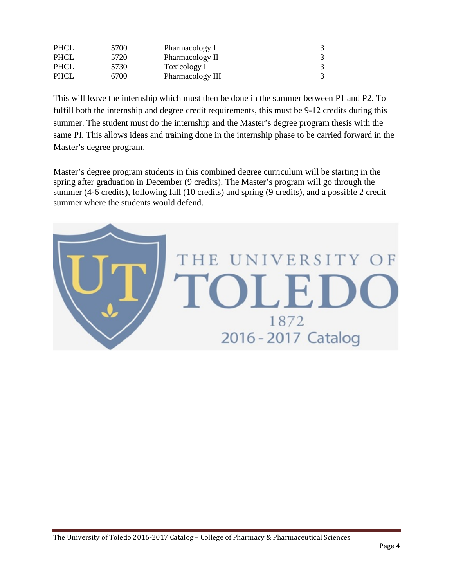| <b>PHCL</b> | 5700 | Pharmacology I   |  |
|-------------|------|------------------|--|
| <b>PHCL</b> | 5720 | Pharmacology II  |  |
| <b>PHCL</b> | 5730 | Toxicology I     |  |
| <b>PHCL</b> | 6700 | Pharmacology III |  |

This will leave the internship which must then be done in the summer between P1 and P2. To fulfill both the internship and degree credit requirements, this must be 9-12 credits during this summer. The student must do the internship and the Master's degree program thesis with the same PI. This allows ideas and training done in the internship phase to be carried forward in the Master's degree program.

Master's degree program students in this combined degree curriculum will be starting in the spring after graduation in December (9 credits). The Master's program will go through the summer (4-6 credits), following fall (10 credits) and spring (9 credits), and a possible 2 credit summer where the students would defend.

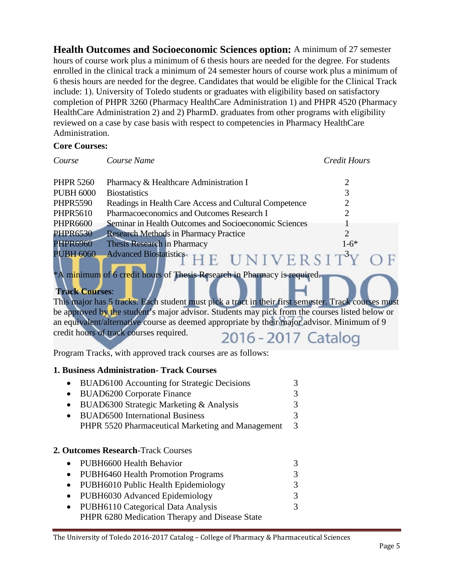**Health Outcomes and Socioeconomic Sciences option:** A minimum of 27 semester hours of course work plus a minimum of 6 thesis hours are needed for the degree. For students enrolled in the clinical track a minimum of 24 semester hours of course work plus a minimum of 6 thesis hours are needed for the degree. Candidates that would be eligible for the Clinical Track include: 1). University of Toledo students or graduates with eligibility based on satisfactory completion of PHPR 3260 (Pharmacy HealthCare Administration 1) and PHPR 4520 (Pharmacy HealthCare Administration 2) and 2) PharmD. graduates from other programs with eligibility reviewed on a case by case basis with respect to competencies in Pharmacy HealthCare Administration.

#### **Core Courses:**

| Course                | Course Name                                                                                         | <b>Credit Hours</b> |
|-----------------------|-----------------------------------------------------------------------------------------------------|---------------------|
| <b>PHPR 5260</b>      | Pharmacy & Healthcare Administration I                                                              | 2                   |
| <b>PUBH 6000</b>      | <b>Biostatistics</b>                                                                                | 3                   |
| <b>PHPR5590</b>       | Readings in Health Care Access and Cultural Competence                                              | $\overline{2}$      |
| <b>PHPR5610</b>       | Pharmacoeconomics and Outcomes Research I                                                           | $\overline{2}$      |
| <b>PHPR6600</b>       | Seminar in Health Outcomes and Socioeconomic Sciences                                               |                     |
| <b>PHPR6530</b>       | <b>Research Methods in Pharmacy Practice</b>                                                        | $\mathfrak{D}$      |
| <b>PHPR6960</b>       | Thesis Research in Pharmacy                                                                         | $1-6*$              |
| <b>PUBH 6060</b>      | <b>Advanced Biostatistics-</b>                                                                      | UNIVERSITY          |
| <b>Track Courses:</b> | *A minimum of 6 credit hours of Thesis Research in Pharmacy is required.                            |                     |
|                       | This major has 5 tracks. Each student must pick a tract in their first semester. Track courses must |                     |
|                       | be approved by the student's major advisor. Students may pick from the courses listed below or      |                     |
|                       | an equivalent/alternative course as deemed appropriate by their major advisor. Minimum of 9         |                     |
|                       | credit hours of track courses required.                                                             | 2016 - 2017 Catalog |
|                       | Program Tracks, with approved track courses are as follows:                                         |                     |
|                       | <b>1. Business Administration- Track Courses</b>                                                    |                     |
| $\bullet$             | <b>BUAD6100</b> Accounting for Strategic Decisions                                                  | 3                   |
| $\bullet$             | <b>BUAD6200 Corporate Finance</b>                                                                   | 3                   |
| $\bullet$             | BUAD6300 Strategic Marketing & Analysis                                                             | 3                   |
| $\bullet$             | <b>BUAD6500</b> International Business                                                              | $\overline{3}$      |
|                       | PHPR 5520 Pharmaceutical Marketing and Management                                                   | 3                   |
|                       | 2. Outcomes Research-Track Courses                                                                  |                     |
|                       | PUBH6600 Health Behavior                                                                            | 3                   |
|                       | <b>PUBH6460 Health Promotion Programs</b>                                                           | 3                   |

- PUBH6010 Public Health Epidemiology 3
- PUBH6030 Advanced Epidemiology 3 • PUBH6110 Categorical Data Analysis 3
- PHPR 6280 Medication Therapy and Disease State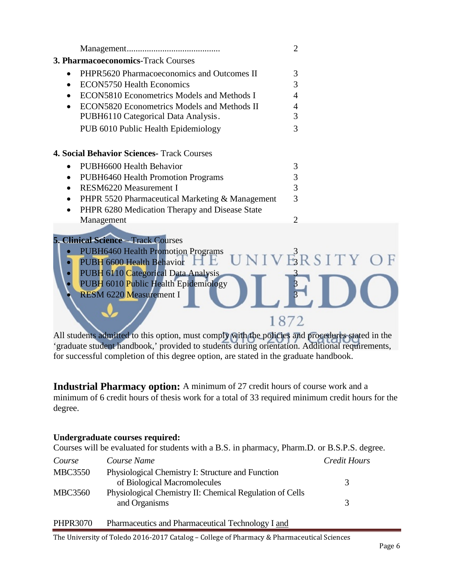|                                                   | 2              |
|---------------------------------------------------|----------------|
| <b>3. Pharmacoeconomics-Track Courses</b>         |                |
| PHPR5620 Pharmacoeconomics and Outcomes II        | 3              |
| <b>ECON5750 Health Economics</b>                  | 3              |
| <b>ECON5810 Econometrics Models and Methods I</b> | 4              |
| ECON5820 Econometrics Models and Methods II       | 4              |
| PUBH6110 Categorical Data Analysis.               | 3              |
| PUB 6010 Public Health Epidemiology               | 3              |
|                                                   |                |
| <b>4. Social Behavior Sciences- Track Courses</b> |                |
| PUBH6600 Health Behavior                          | 3              |
| PUBH6460 Health Promotion Programs                | 3              |
| <b>RESM6220 Measurement I</b>                     | 3              |
| PHPR 5520 Pharmaceutical Marketing & Management   | 3              |
| PHPR 6280 Medication Therapy and Disease State    |                |
| Management                                        | $\overline{2}$ |
|                                                   |                |
| <b>5. Clinical Science - Track Courses</b>        |                |
| DUDH6460 Hoolth Dramation Dragrams                | 2              |

#### $\mathcal{F}_1$  Health Promotion Programs  $\mathbf{U} \mathbf{N} \mathbf{I} \mathbf{V} \mathbf{E} \mathbf{R} \mathbf{S} \mathbf{I} \mathbf{T} \mathbf{Y} \mathbf{O} \mathbf{F}$ PUBH 6600 Health Behavior  $\Box$  E PUBH 6110 Categorical Data Analysis PUBH 6010 Public Health Epidemiology

**RESM 6220 Measurement I** 

All students admitted to this option, must comply with the policies and procedures stated in the 'graduate student handbook,' provided to students during orientation. Additional requirements, for successful completion of this degree option, are stated in the graduate handbook.

1872

**Industrial Pharmacy option:** A minimum of 27 credit hours of course work and a minimum of 6 credit hours of thesis work for a total of 33 required minimum credit hours for the degree.

#### **Undergraduate courses required:**

Courses will be evaluated for students with a B.S. in pharmacy, Pharm.D. or B.S.P.S. degree.

| Course         | Course Name                                              | Credit Hours  |
|----------------|----------------------------------------------------------|---------------|
| <b>MBC3550</b> | Physiological Chemistry I: Structure and Function        |               |
|                | of Biological Macromolecules                             | 3             |
| <b>MBC3560</b> | Physiological Chemistry II: Chemical Regulation of Cells |               |
|                | and Organisms                                            | $\mathcal{R}$ |
| P              | $\cdots$ are the set of $\cdots$<br>TM.<br>1.731         |               |

| PHPR3070 | Pharmaceutics and Pharmaceutical Technology I and |  |
|----------|---------------------------------------------------|--|
|          |                                                   |  |

The University of Toledo 2016-2017 Catalog – College of Pharmacy & Pharmaceutical Sciences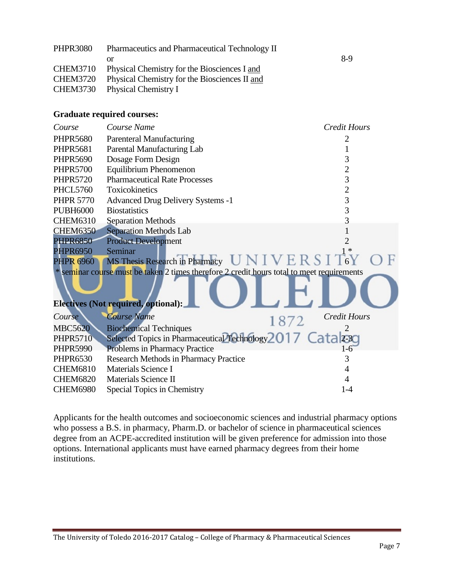| <b>PHPR3080</b> | Pharmaceutics and Pharmaceutical Technology II |     |
|-----------------|------------------------------------------------|-----|
|                 |                                                | 8-9 |
| <b>CHEM3710</b> | Physical Chemistry for the Biosciences I and   |     |
| <b>CHEM3720</b> | Physical Chemistry for the Biosciences II and  |     |
|                 | CHEM3730 Physical Chemistry I                  |     |

#### **Graduate required courses:**

| Course           | Course Name                                                                                | <b>Credit Hours</b> |
|------------------|--------------------------------------------------------------------------------------------|---------------------|
| <b>PHPR5680</b>  | <b>Parenteral Manufacturing</b>                                                            |                     |
| <b>PHPR5681</b>  | Parental Manufacturing Lab                                                                 |                     |
| <b>PHPR5690</b>  | Dosage Form Design                                                                         | 3                   |
| <b>PHPR5700</b>  | Equilibrium Phenomenon                                                                     | $\overline{2}$      |
| <b>PHPR5720</b>  | <b>Pharmaceutical Rate Processes</b>                                                       | 3                   |
| <b>PHCL5760</b>  | Toxicokinetics                                                                             | $\overline{2}$      |
| <b>PHPR 5770</b> | <b>Advanced Drug Delivery Systems -1</b>                                                   | 3                   |
| <b>PUBH6000</b>  | <b>Biostatistics</b>                                                                       | 3                   |
| <b>CHEM6310</b>  | <b>Separation Methods</b>                                                                  | 3                   |
| <b>CHEM6350</b>  | <b>Separation Methods Lab</b>                                                              |                     |
| <b>PHPR6850</b>  | <b>Product Development</b>                                                                 |                     |
| <b>PHPR6950</b>  | Seminar                                                                                    |                     |
|                  | PHPR 6960 MS Thesis Research in Pharmacy UNIVERSIT6Y                                       |                     |
|                  | * seminar course must be taken 2 times therefore 2 credit hours total to meet requirements |                     |
|                  | <b>Electives (Not required, optional):</b>                                                 |                     |
| Course           | <b>Course Name</b><br>1872                                                                 | <b>Credit Hours</b> |
| <b>MBC5620</b>   | <b>Biochemical Techniques</b>                                                              |                     |
| <b>PHPR5710</b>  | Selected Topics in Pharmaceutical Technology 2017 Catal230                                 |                     |
| <b>PHPR5990</b>  | <b>Problems in Pharmacy Practice</b>                                                       | 1-6                 |
| <b>PHPR6530</b>  | Research Methods in Pharmacy Practice                                                      | 3                   |
| <b>CHEM6810</b>  | Materials Science I                                                                        |                     |
| <b>CHEM6820</b>  | Materials Science II                                                                       |                     |
| <b>CHEM6980</b>  | Special Topics in Chemistry                                                                | $1 - 4$             |

Applicants for the health outcomes and socioeconomic sciences and industrial pharmacy options who possess a B.S. in pharmacy, Pharm.D. or bachelor of science in pharmaceutical sciences degree from an ACPE-accredited institution will be given preference for admission into those options. International applicants must have earned pharmacy degrees from their home institutions.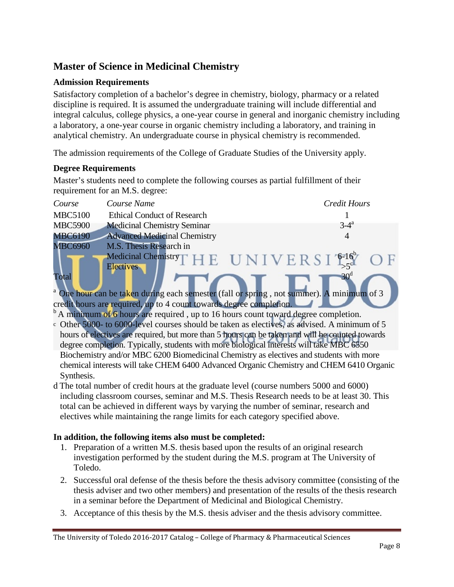## **Master of Science in Medicinal Chemistry**

#### **Admission Requirements**

Satisfactory completion of a bachelor's degree in chemistry, biology, pharmacy or a related discipline is required. It is assumed the undergraduate training will include differential and integral calculus, college physics, a one-year course in general and inorganic chemistry including a laboratory, a one-year course in organic chemistry including a laboratory, and training in analytical chemistry. An undergraduate course in physical chemistry is recommended.

The admission requirements of the College of Graduate Studies of the University apply.

#### **Degree Requirements**

Master's students need to complete the following courses as partial fulfillment of their requirement for an M.S. degree:

| Course         | Course Name                         | <b>Credit Hours</b>                                                                                  |
|----------------|-------------------------------------|------------------------------------------------------------------------------------------------------|
| <b>MBC5100</b> | <b>Ethical Conduct of Research</b>  |                                                                                                      |
| <b>MBC5900</b> | <b>Medicinal Chemistry Seminar</b>  | $3-4^a$                                                                                              |
| <b>MBC6190</b> | <b>Advanced Medicinal Chemistry</b> | 4                                                                                                    |
| <b>MBC6960</b> | M.S. Thesis Research in             |                                                                                                      |
|                | <b>Electives</b>                    | Medicinal Chemistry $\Gamma$ H E UNIVERSI <sup>616</sup> OF                                          |
| Total          |                                     | 30 <sup>d</sup>                                                                                      |
|                |                                     | <sup>a</sup> One hour can be taken during each semester (fall or spring, not summer). A minimum of 3 |

credit hours are required, up to 4 count towards degree completion.

 $<sup>b</sup>$  A minimum of 6 hours are required, up to 16 hours count toward degree completion.</sup>

- c Other 5000- to 6000-level courses should be taken as electives, as advised. A minimum of 5 hours of electives are required, but more than 5 hours can be taken and will be counted towards degree completion. Typically, students with more biological interests will take MBC 6550 Biochemistry and/or MBC 6200 Biomedicinal Chemistry as electives and students with more chemical interests will take CHEM 6400 Advanced Organic Chemistry and CHEM 6410 Organic Synthesis.
- d The total number of credit hours at the graduate level (course numbers 5000 and 6000) including classroom courses, seminar and M.S. Thesis Research needs to be at least 30. This total can be achieved in different ways by varying the number of seminar, research and electives while maintaining the range limits for each category specified above.

#### **In addition, the following items also must be completed:**

- 1. Preparation of a written M.S. thesis based upon the results of an original research investigation performed by the student during the M.S. program at The University of Toledo.
- 2. Successful oral defense of the thesis before the thesis advisory committee (consisting of the thesis adviser and two other members) and presentation of the results of the thesis research in a seminar before the Department of Medicinal and Biological Chemistry.
- 3. Acceptance of this thesis by the M.S. thesis adviser and the thesis advisory committee.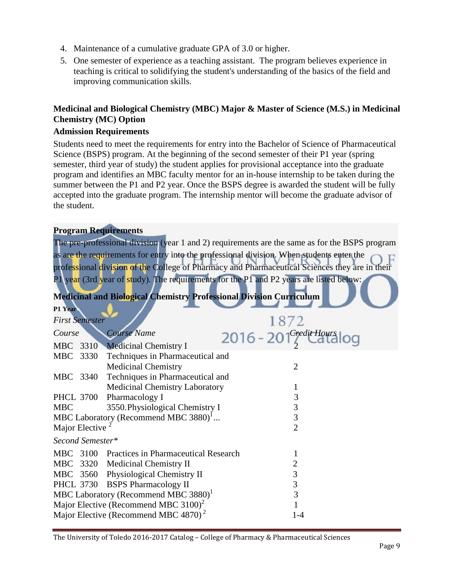- 4. Maintenance of a cumulative graduate GPA of 3.0 or higher.
- 5. One semester of experience as a teaching assistant. The program believes experience in teaching is critical to solidifying the student's understanding of the basics of the field and improving communication skills.

#### **Medicinal and Biological Chemistry (MBC) Major & Master of Science (M.S.) in Medicinal Chemistry (MC) Option**

#### **Admission Requirements**

Students need to meet the requirements for entry into the Bachelor of Science of Pharmaceutical Science (BSPS) program. At the beginning of the second semester of their P1 year (spring semester, third year of study) the student applies for provisional acceptance into the graduate program and identifies an MBC faculty mentor for an in-house internship to be taken during the summer between the P1 and P2 year. Once the BSPS degree is awarded the student will be fully accepted into the graduate program. The internship mentor will become the graduate advisor of the student.

#### **Program Requirements**

The pre-professional division (year 1 and 2) requirements are the same as for the BSPS program as are the requirements for entry into the professional division. When students enter the professional division of the College of Pharmacy and Pharmaceutical Sciences they are in their P1 year (3rd year of study). The requirements for the P1 and P2 years are listed below:

**Medicinal and Biological Chemistry Professional Division Curriculum**

|                                       | 1872                                                                                                                                                                                                                                                                                                                                                                                                                                                                                               |
|---------------------------------------|----------------------------------------------------------------------------------------------------------------------------------------------------------------------------------------------------------------------------------------------------------------------------------------------------------------------------------------------------------------------------------------------------------------------------------------------------------------------------------------------------|
| <b>Course Name</b>                    | 2016 - 201 <sup>CreditHours</sup> log                                                                                                                                                                                                                                                                                                                                                                                                                                                              |
|                                       |                                                                                                                                                                                                                                                                                                                                                                                                                                                                                                    |
| Techniques in Pharmaceutical and      |                                                                                                                                                                                                                                                                                                                                                                                                                                                                                                    |
| <b>Medicinal Chemistry</b>            | $\overline{2}$                                                                                                                                                                                                                                                                                                                                                                                                                                                                                     |
| Techniques in Pharmaceutical and      |                                                                                                                                                                                                                                                                                                                                                                                                                                                                                                    |
| <b>Medicinal Chemistry Laboratory</b> |                                                                                                                                                                                                                                                                                                                                                                                                                                                                                                    |
| Pharmacology I                        | 3                                                                                                                                                                                                                                                                                                                                                                                                                                                                                                  |
| 3550. Physiological Chemistry I       | 3                                                                                                                                                                                                                                                                                                                                                                                                                                                                                                  |
|                                       | 3                                                                                                                                                                                                                                                                                                                                                                                                                                                                                                  |
|                                       | $\overline{2}$                                                                                                                                                                                                                                                                                                                                                                                                                                                                                     |
|                                       |                                                                                                                                                                                                                                                                                                                                                                                                                                                                                                    |
|                                       |                                                                                                                                                                                                                                                                                                                                                                                                                                                                                                    |
|                                       | 2                                                                                                                                                                                                                                                                                                                                                                                                                                                                                                  |
|                                       | 3                                                                                                                                                                                                                                                                                                                                                                                                                                                                                                  |
|                                       | 3                                                                                                                                                                                                                                                                                                                                                                                                                                                                                                  |
|                                       | 3                                                                                                                                                                                                                                                                                                                                                                                                                                                                                                  |
|                                       |                                                                                                                                                                                                                                                                                                                                                                                                                                                                                                    |
|                                       | 1-4                                                                                                                                                                                                                                                                                                                                                                                                                                                                                                |
| MBC 3340                              | <b>First Semester</b><br>MBC 3310 Medicinal Chemistry I<br>MBC 3330<br><b>PHCL 3700</b><br>MBC Laboratory (Recommend MBC 3880) <sup>1</sup><br>Major Elective<br>Second Semester*<br>MBC 3100 Practices in Pharmaceutical Research<br>MBC 3320 Medicinal Chemistry II<br>MBC 3560 Physiological Chemistry II<br>PHCL 3730 BSPS Pharmacology II<br>MBC Laboratory (Recommend MBC 3880) <sup>1</sup><br>Major Elective (Recommend MBC $3100^2$ )<br>Major Elective (Recommend MBC 4870) <sup>2</sup> |

The University of Toledo 2016-2017 Catalog – College of Pharmacy & Pharmaceutical Sciences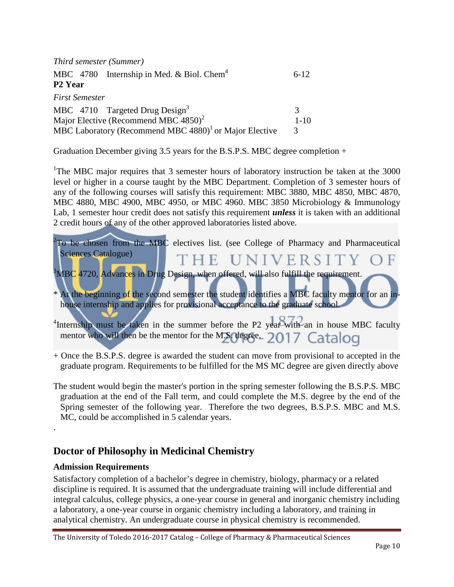| Third semester (Summer)                                               |               |
|-----------------------------------------------------------------------|---------------|
| MBC $4780$ Internship in Med. & Biol. Chem <sup>4</sup>               | $6-12$        |
| P <sub>2</sub> Year                                                   |               |
| <b>First Semester</b>                                                 |               |
| MBC $4710$ Targeted Drug Design <sup>3</sup>                          | 3             |
| Major Elective (Recommend MBC 4850) <sup>2</sup>                      | $1 - 10$      |
| MBC Laboratory (Recommend MBC $4880$ ) <sup>1</sup> or Major Elective | $\mathcal{R}$ |

Graduation December giving 3.5 years for the B.S.P.S. MBC degree completion  $+$ 

<sup>1</sup>The MBC major requires that 3 semester hours of laboratory instruction be taken at the 3000 level or higher in a course taught by the MBC Department. Completion of 3 semester hours of any of the following courses will satisfy this requirement: MBC 3880, MBC 4850, MBC 4870, MBC 4880, MBC 4900, MBC 4950, or MBC 4960. MBC 3850 Microbiology & Immunology Lab, 1 semester hour credit does not satisfy this requirement *unless* it is taken with an additional 2 credit hours of any of the other approved laboratories listed above.

| $2$ To be chosen from the MBC electives list. (see College of Pharmacy and Pharmaceutical                        |  |
|------------------------------------------------------------------------------------------------------------------|--|
| Sciences Catalogue)<br>THE UNIVERSITY OF                                                                         |  |
| ${}^{3}$ MBC 4720, Advances in Drug Design, when offered, will also fulfill the requirement.                     |  |
| * At the beginning of the second semester the student identifies a MBC faculty mentor for an in-                 |  |
| house internship and applies for provisional acceptance to the graduate school.                                  |  |
|                                                                                                                  |  |
| <sup>4</sup> Internship must be taken in the summer before the P2 year <sup>2</sup> with an in house MBC faculty |  |
| mentor who will then be the mentor for the M.S. degree. $2017$ Catalog                                           |  |

+ Once the B.S.P.S. degree is awarded the student can move from provisional to accepted in the graduate program. Requirements to be fulfilled for the MS MC degree are given directly above

The student would begin the master's portion in the spring semester following the B.S.P.S. MBC graduation at the end of the Fall term, and could complete the M.S. degree by the end of the Spring semester of the following year. Therefore the two degrees, B.S.P.S. MBC and M.S. MC, could be accomplished in 5 calendar years.

### **Doctor of Philosophy in Medicinal Chemistry**

#### **Admission Requirements**

.

Satisfactory completion of a bachelor's degree in chemistry, biology, pharmacy or a related discipline is required. It is assumed that the undergraduate training will include differential and integral calculus, college physics, a one-year course in general and inorganic chemistry including a laboratory, a one-year course in organic chemistry including a laboratory, and training in analytical chemistry. An undergraduate course in physical chemistry is recommended.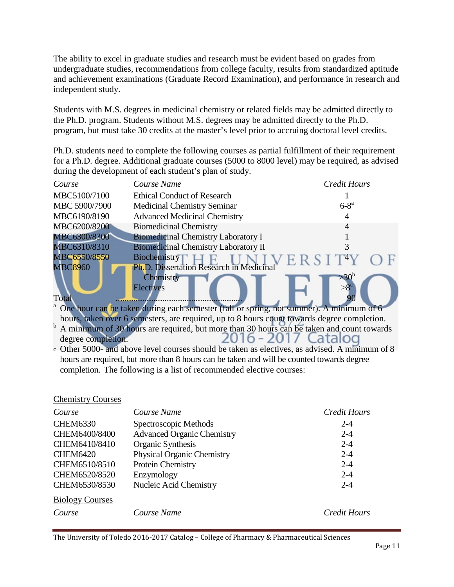The ability to excel in graduate studies and research must be evident based on grades from undergraduate studies, recommendations from college faculty, results from standardized aptitude and achievement examinations (Graduate Record Examination), and performance in research and independent study.

Students with M.S. degrees in medicinal chemistry or related fields may be admitted directly to the Ph.D. program. Students without M.S. degrees may be admitted directly to the Ph.D. program, but must take 30 credits at the master's level prior to accruing doctoral level credits.

Ph.D. students need to complete the following courses as partial fulfillment of their requirement for a Ph.D. degree. Additional graduate courses (5000 to 8000 level) may be required, as advised during the development of each student's plan of study.

| Course             | Course Name                                                                                                           | <b>Credit Hours</b> |
|--------------------|-----------------------------------------------------------------------------------------------------------------------|---------------------|
| MBC5100/7100       | <b>Ethical Conduct of Research</b>                                                                                    |                     |
| MBC 5900/7900      | <b>Medicinal Chemistry Seminar</b>                                                                                    | $6-8^a$             |
| MBC6190/8190       | <b>Advanced Medicinal Chemistry</b>                                                                                   |                     |
| MBC6200/8200       | <b>Biomedicinal Chemistry</b>                                                                                         |                     |
| MBC6300/8300       | <b>Biomedicinal Chemistry Laboratory I</b>                                                                            |                     |
| MBC6310/8310       | <b>Biomedicinal Chemistry Laboratory II</b>                                                                           |                     |
| MBC6550/8550       | Biochemistry                                                                                                          |                     |
| <b>MBC8960</b>     | Ph.D. Dissertation Research in Medicinal                                                                              |                     |
|                    | Chemistry<br><b>Electives</b>                                                                                         | $>30^{6}$           |
| Total              |                                                                                                                       |                     |
|                    | <sup>a</sup> One hour can be taken during each semester (fall or spring, not summer). A minimum of 6                  |                     |
|                    | hours, taken over 6 semesters, are required, up to 8 hours count towards degree completion.                           |                     |
| degree completion. | <sup>b</sup> A minimum of 30 hours are required, but more than 30 hours can be taken and count towards<br>$2016 - 20$ |                     |
|                    | o Other 5000- and above level courses should be taken as electives, as advised. A minimum of 8                        |                     |

hours are required, but more than 8 hours can be taken and will be counted towards degree completion. The following is a list of recommended elective courses:

#### Chemistry Courses

| Course                 | Course Name                       | <b>Credit Hours</b> |
|------------------------|-----------------------------------|---------------------|
| <b>CHEM6330</b>        | Spectroscopic Methods             | $2 - 4$             |
| CHEM6400/8400          | <b>Advanced Organic Chemistry</b> | $2 - 4$             |
| CHEM6410/8410          | Organic Synthesis                 | $2 - 4$             |
| <b>CHEM6420</b>        | <b>Physical Organic Chemistry</b> | $2 - 4$             |
| CHEM6510/8510          | Protein Chemistry                 | $2 - 4$             |
| CHEM6520/8520          | Enzymology                        | $2 - 4$             |
| CHEM6530/8530          | Nucleic Acid Chemistry            | $2 - 4$             |
| <b>Biology Courses</b> |                                   |                     |
| Course                 | Course Name                       | <b>Credit Hours</b> |

The University of Toledo 2016-2017 Catalog – College of Pharmacy & Pharmaceutical Sciences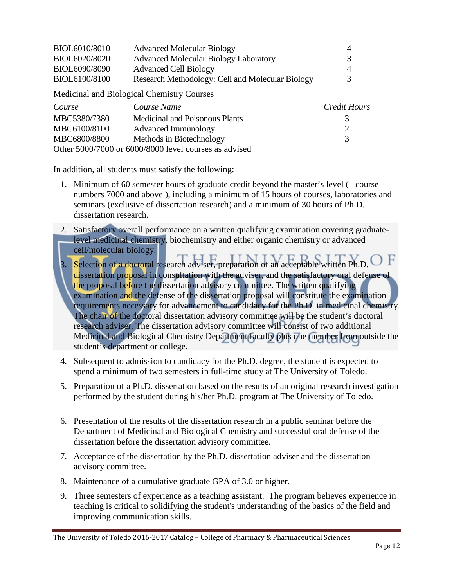| BIOL6010/8010 | <b>Advanced Molecular Biology</b>                     | 4            |
|---------------|-------------------------------------------------------|--------------|
| BIOL6020/8020 | <b>Advanced Molecular Biology Laboratory</b>          | 3            |
| BIOL6090/8090 | <b>Advanced Cell Biology</b>                          | 4            |
| BIOL6100/8100 | Research Methodology: Cell and Molecular Biology      | 3            |
|               | Medicinal and Biological Chemistry Courses            |              |
| Course        | Course Name                                           | Credit Hours |
| MBC5380/7380  | <b>Medicinal and Poisonous Plants</b>                 | 3            |
| MBC6100/8100  | Advanced Immunology                                   | 2            |
| MBC6800/8800  | Methods in Biotechnology                              | 3            |
|               | Other 5000/7000 or 6000/8000 level courses as advised |              |

In addition, all students must satisfy the following:

- 1. Minimum of 60 semester hours of graduate credit beyond the master's level ( course numbers 7000 and above ), including a minimum of 15 hours of courses, laboratories and seminars (exclusive of dissertation research) and a minimum of 30 hours of Ph.D. dissertation research.
- 2. Satisfactory overall performance on a written qualifying examination covering graduatelevel medicinal chemistry, biochemistry and either organic chemistry or advanced cell/molecular biology.
- 3. Selection of a doctoral research adviser, preparation of an acceptable written Ph.D. dissertation proposal in consultation with the adviser, and the satisfactory oral defense of the proposal before the dissertation advisory committee. The written qualifying examination and the defense of the dissertation proposal will constitute the examination requirements necessary for advancement to candidacy for the Ph.D. in medicinal chemistry. The chair of the doctoral dissertation advisory committee will be the student's doctoral research adviser. The dissertation advisory committee will consist of two additional Medicinal and Biological Chemistry Department faculty plus one member from outside the student's department or college.
- 4. Subsequent to admission to candidacy for the Ph.D. degree, the student is expected to spend a minimum of two semesters in full-time study at The University of Toledo.
- 5. Preparation of a Ph.D. dissertation based on the results of an original research investigation performed by the student during his/her Ph.D. program at The University of Toledo.
- 6. Presentation of the results of the dissertation research in a public seminar before the Department of Medicinal and Biological Chemistry and successful oral defense of the dissertation before the dissertation advisory committee.
- 7. Acceptance of the dissertation by the Ph.D. dissertation adviser and the dissertation advisory committee.
- 8. Maintenance of a cumulative graduate GPA of 3.0 or higher.
- 9. Three semesters of experience as a teaching assistant. The program believes experience in teaching is critical to solidifying the student's understanding of the basics of the field and improving communication skills.

The University of Toledo 2016-2017 Catalog – College of Pharmacy & Pharmaceutical Sciences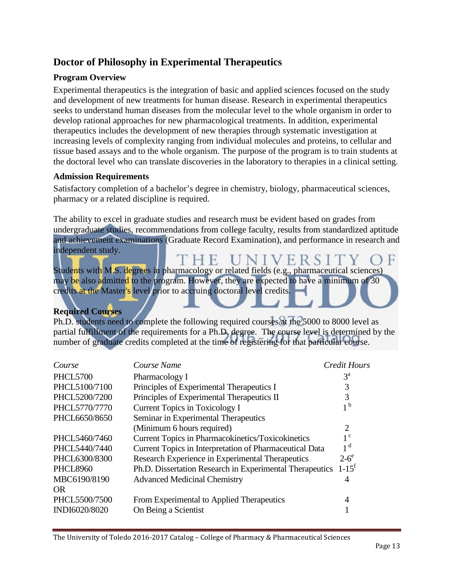## **Doctor of Philosophy in Experimental Therapeutics**

#### **Program Overview**

Experimental therapeutics is the integration of basic and applied sciences focused on the study and development of new treatments for human disease. Research in experimental therapeutics seeks to understand human diseases from the molecular level to the whole organism in order to develop rational approaches for new pharmacological treatments. In addition, experimental therapeutics includes the development of new therapies through systematic investigation at increasing levels of complexity ranging from individual molecules and proteins, to cellular and tissue based assays and to the whole organism. The purpose of the program is to train students at the doctoral level who can translate discoveries in the laboratory to therapies in a clinical setting.

#### **Admission Requirements**

Satisfactory completion of a bachelor's degree in chemistry, biology, pharmaceutical sciences, pharmacy or a related discipline is required.

The ability to excel in graduate studies and research must be evident based on grades from undergraduate studies, recommendations from college faculty, results from standardized aptitude and achievement examinations (Graduate Record Examination), and performance in research and independent study.

'HE UNIVERSI Students with M.S. degrees in pharmacology or related fields (e.g., pharmaceutical sciences) may be also admitted to the program. However, they are expected to have a minimum of 30 credits at the Master's level prior to accruing doctoral level credits.

#### **Required Courses**

Ph.D. students need to complete the following required courses at the 5000 to 8000 level as partial fulfillment of the requirements for a Ph.D. degree. The course level is determined by the number of graduate credits completed at the time of registering for that particular course.

| Course Name                                                      | <b>Credit Hours</b> |
|------------------------------------------------------------------|---------------------|
| Pharmacology I                                                   | $3^{\rm a}$         |
| Principles of Experimental Therapeutics I                        | 3                   |
| Principles of Experimental Therapeutics II                       | 3                   |
| <b>Current Topics in Toxicology I</b>                            | 1 <sup>b</sup>      |
| Seminar in Experimental Therapeutics                             |                     |
| (Minimum 6 hours required)                                       | $\overline{2}$      |
| <b>Current Topics in Pharmacokinetics/Toxicokinetics</b>         | $1^{\circ}$         |
| Current Topics in Interpretation of Pharmaceutical Data          | 1 <sup>d</sup>      |
| Research Experience in Experimental Therapeutics                 | $2-6^\circ$         |
| Ph.D. Dissertation Research in Experimental Therapeutics $1-15f$ |                     |
| <b>Advanced Medicinal Chemistry</b>                              | 4                   |
|                                                                  |                     |
| From Experimental to Applied Therapeutics                        | 4                   |
| On Being a Scientist                                             |                     |
|                                                                  |                     |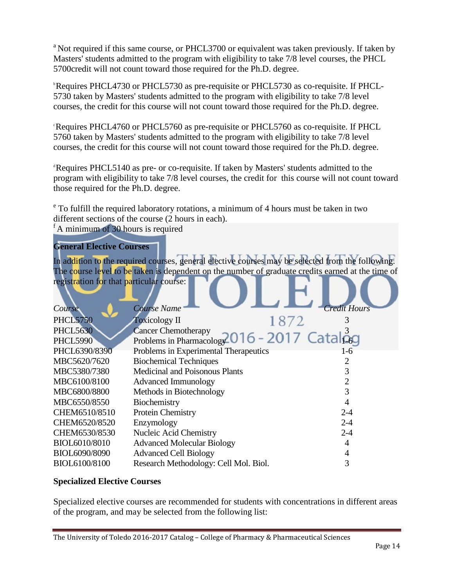<sup>a</sup> Not required if this same course, or PHCL3700 or equivalent was taken previously. If taken by Masters' students admitted to the program with eligibility to take 7/8 level courses, the PHCL 5700credit will not count toward those required for the Ph.D. degree.

b Requires PHCL4730 or PHCL5730 as pre-requisite or PHCL5730 as co-requisite. If PHCL-5730 taken by Masters' students admitted to the program with eligibility to take 7/8 level courses, the credit for this course will not count toward those required for the Ph.D. degree.

c Requires PHCL4760 or PHCL5760 as pre-requisite or PHCL5760 as co-requisite. If PHCL 5760 taken by Masters' students admitted to the program with eligibility to take 7/8 level courses, the credit for this course will not count toward those required for the Ph.D. degree.

d Requires PHCL5140 as pre- or co-requisite. If taken by Masters' students admitted to the program with eligibility to take 7/8 level courses, the credit for this course will not count toward those required for the Ph.D. degree.

<sup>e</sup> To fulfill the required laboratory rotations, a minimum of 4 hours must be taken in two different sections of the course (2 hours in each).

<sup>f</sup> A minimum of 30 hours is required

#### **General Elective Courses**

In addition to the required courses, general elective courses may be selected from the following. The course level to be taken is dependent on the number of graduate credits earned at the time of registration for that particular course:

| <i>Course</i>   | <b>Course Name</b>                                                 | <b>Credit Hours</b> |
|-----------------|--------------------------------------------------------------------|---------------------|
| <b>PHCL5750</b> | 1872<br><b>Toxicology II</b>                                       |                     |
| <b>PHCL5630</b> | <b>Cancer Chemotherapy</b>                                         |                     |
| <b>PHCL5990</b> | Cancer Chemotherapy<br>Problems in Pharmacolog 2016 - 2017 Catalog |                     |
| PHCL6390/8390   | Problems in Experimental Therapeutics                              | 1-6                 |
| MBC5620/7620    | <b>Biochemical Techniques</b>                                      |                     |
| MBC5380/7380    | Medicinal and Poisonous Plants                                     |                     |
| MBC6100/8100    | <b>Advanced Immunology</b>                                         |                     |
| MBC6800/8800    | Methods in Biotechnology                                           | 3                   |
| MBC6550/8550    | Biochemistry                                                       |                     |
| CHEM6510/8510   | Protein Chemistry                                                  | $2 - 4$             |
| CHEM6520/8520   | Enzymology                                                         | $2 - 4$             |
| CHEM6530/8530   | Nucleic Acid Chemistry                                             | $2 - 4$             |
| BIOL6010/8010   | <b>Advanced Molecular Biology</b>                                  | 4                   |
| BIOL6090/8090   | <b>Advanced Cell Biology</b>                                       |                     |
| BIOL6100/8100   | Research Methodology: Cell Mol. Biol.                              | 3                   |

#### **Specialized Elective Courses**

Specialized elective courses are recommended for students with concentrations in different areas of the program, and may be selected from the following list: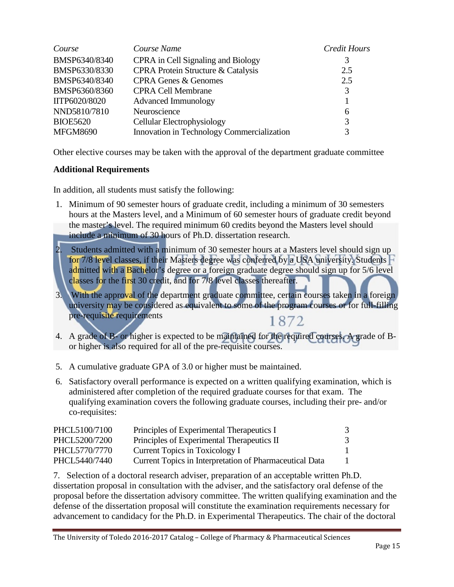| Course          | Course Name                                | Credit Hours |
|-----------------|--------------------------------------------|--------------|
| BMSP6340/8340   | CPRA in Cell Signaling and Biology         | 3            |
| BMSP6330/8330   | CPRA Protein Structure & Catalysis         | 2.5          |
| BMSP6340/8340   | <b>CPRA Genes &amp; Genomes</b>            | 2.5          |
| BMSP6360/8360   | <b>CPRA Cell Membrane</b>                  | 3            |
| IITP6020/8020   | <b>Advanced Immunology</b>                 |              |
| NND5810/7810    | Neuroscience                               | 6            |
| <b>BIOE5620</b> | Cellular Electrophysiology                 | 3            |
| <b>MFGM8690</b> | Innovation in Technology Commercialization | 3            |

Other elective courses may be taken with the approval of the department graduate committee

#### **Additional Requirements**

In addition, all students must satisfy the following:

- 1. Minimum of 90 semester hours of graduate credit, including a minimum of 30 semesters hours at the Masters level, and a Minimum of 60 semester hours of graduate credit beyond the master's level. The required minimum 60 credits beyond the Masters level should include a minimum of 30 hours of Ph.D. dissertation research.
- 2. Students admitted with a minimum of 30 semester hours at a Masters level should sign up for 7/8 level classes, if their Masters degree was conferred by a USA university. Students  $\vdash$ admitted with a Bachelor's degree or a foreign graduate degree should sign up for 5/6 level classes for the first 30 credit, and for 7/8 level classes thereafter.
- 3. With the approval of the department graduate committee, certain courses taken in a foreign university may be considered as equivalent to some of the program courses or for full-filling pre-requisite requirements 1872
- 4. A grade of B- or higher is expected to be maintained for the required courses. A grade of Bor higher is also required for all of the pre-requisite courses.
- 5. A cumulative graduate GPA of 3.0 or higher must be maintained.
- 6. Satisfactory overall performance is expected on a written qualifying examination, which is administered after completion of the required graduate courses for that exam. The qualifying examination covers the following graduate courses, including their pre- and/or co-requisites:

| PHCL5100/7100 | Principles of Experimental Therapeutics I               |  |
|---------------|---------------------------------------------------------|--|
| PHCL5200/7200 | Principles of Experimental Therapeutics II              |  |
| PHCL5770/7770 | Current Topics in Toxicology I                          |  |
| PHCL5440/7440 | Current Topics in Interpretation of Pharmaceutical Data |  |

7. Selection of a doctoral research adviser, preparation of an acceptable written Ph.D. dissertation proposal in consultation with the adviser, and the satisfactory oral defense of the proposal before the dissertation advisory committee. The written qualifying examination and the defense of the dissertation proposal will constitute the examination requirements necessary for advancement to candidacy for the Ph.D. in Experimental Therapeutics. The chair of the doctoral